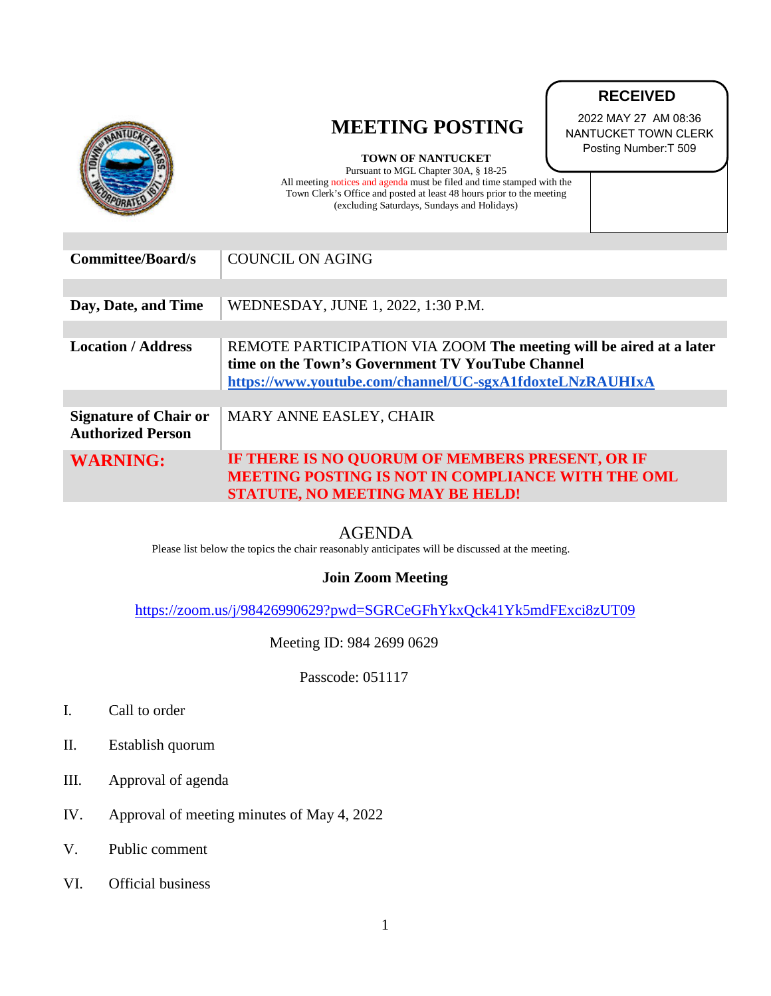|                                                          | <b>MEETING POSTING</b><br><b>TOWN OF NANTUCKET</b><br>Pursuant to MGL Chapter 30A, § 18-25<br>All meeting notices and agenda must be filed and time stamped with the<br>Town Clerk's Office and posted at least 48 hours prior to the meeting<br>(excluding Saturdays, Sundays and Holidays) | 2022 MAY 27 AM 08:36<br>NANTUCKET TOWN CLERK<br>Posting Number: T 509 |
|----------------------------------------------------------|----------------------------------------------------------------------------------------------------------------------------------------------------------------------------------------------------------------------------------------------------------------------------------------------|-----------------------------------------------------------------------|
|                                                          |                                                                                                                                                                                                                                                                                              |                                                                       |
| <b>Committee/Board/s</b>                                 | <b>COUNCIL ON AGING</b>                                                                                                                                                                                                                                                                      |                                                                       |
|                                                          |                                                                                                                                                                                                                                                                                              |                                                                       |
| Day, Date, and Time                                      | WEDNESDAY, JUNE 1, 2022, 1:30 P.M.                                                                                                                                                                                                                                                           |                                                                       |
|                                                          |                                                                                                                                                                                                                                                                                              |                                                                       |
| <b>Location / Address</b>                                | REMOTE PARTICIPATION VIA ZOOM The meeting will be aired at a later<br>time on the Town's Government TV YouTube Channel<br>https://www.youtube.com/channel/UC-sgxA1fdoxteLNzRAUHIxA                                                                                                           |                                                                       |
|                                                          |                                                                                                                                                                                                                                                                                              |                                                                       |
| <b>Signature of Chair or</b><br><b>Authorized Person</b> | MARY ANNE EASLEY, CHAIR                                                                                                                                                                                                                                                                      |                                                                       |
| <b>WARNING:</b>                                          | IF THERE IS NO QUORUM OF MEMBERS PRESENT, OR IF<br><b>MEETING POSTING IS NOT IN COMPLIANCE WITH THE OML</b><br><b>STATUTE, NO MEETING MAY BE HELD!</b>                                                                                                                                       |                                                                       |

**RECEIVED**

AGENDA<br>Please list below the topics the chair reasonably anticipates will be discussed at the meeting.

## **Join Zoom Meeting**

<https://zoom.us/j/98426990629?pwd=SGRCeGFhYkxQck41Yk5mdFExci8zUT09>

Meeting ID: 984 2699 0629

Passcode: 051117

- I. Call to order
- II. Establish quorum
- III. Approval of agenda
- IV. Approval of meeting minutes of May 4, 2022
- V. Public comment
- VI. Official business